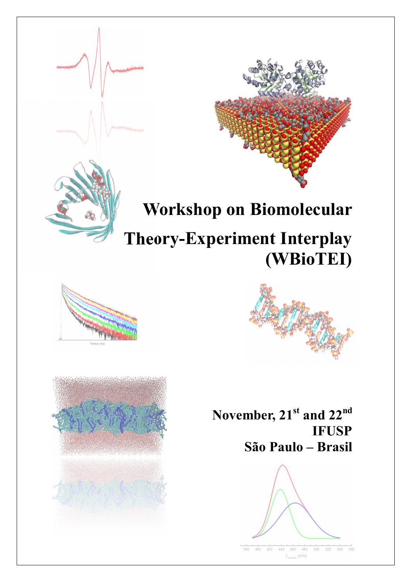



# Workshop on Biomolecular

# Theory-Experiment Interplay (WBioTEI)





November, 21<sup>st</sup> and 22<sup>nd</sup> IFUSP São Paulo – Brasil



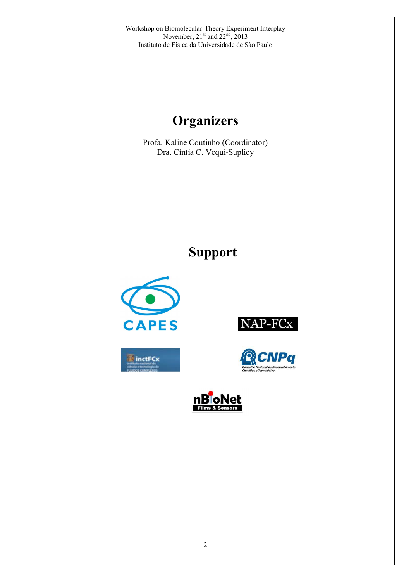# **Organizers**

Profa. Kaline Coutinho (Coordinator) Dra. Cíntia C. Vequi-Suplicy

# Support









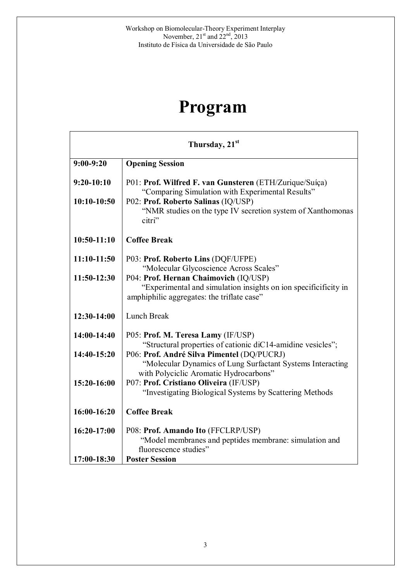# Program

| Thursday, 21 <sup>st</sup> |                                                                                                                                                        |  |
|----------------------------|--------------------------------------------------------------------------------------------------------------------------------------------------------|--|
| $9:00-9:20$                | <b>Opening Session</b>                                                                                                                                 |  |
| $9:20-10:10$               | P01: Prof. Wilfred F. van Gunsteren (ETH/Zurique/Suíça)<br>"Comparing Simulation with Experimental Results"                                            |  |
| $10:10-10:50$              | P02: Prof. Roberto Salinas (IQ/USP)<br>"NMR studies on the type IV secretion system of Xanthomonas<br>citri"                                           |  |
| $10:50-11:10$              | <b>Coffee Break</b>                                                                                                                                    |  |
| $11:10-11:50$              | P03: Prof. Roberto Lins (DQF/UFPE)<br>"Molecular Glycoscience Across Scales"                                                                           |  |
| 11:50-12:30                | P04: Prof. Hernan Chaimovich (IQ/USP)<br>"Experimental and simulation insights on ion specificificity in<br>amphiphilic aggregates: the triflate case" |  |
| 12:30-14:00                | <b>Lunch Break</b>                                                                                                                                     |  |
| 14:00-14:40                | P05: Prof. M. Teresa Lamy (IF/USP)<br>"Structural properties of cationic diC14-amidine vesicles";                                                      |  |
| 14:40-15:20                | P06: Prof. André Silva Pimentel (DQ/PUCRJ)<br>"Molecular Dynamics of Lung Surfactant Systems Interacting                                               |  |
| 15:20-16:00                | with Polyciclic Aromatic Hydrocarbons"<br>P07: Prof. Cristiano Oliveira (IF/USP)<br>"Investigating Biological Systems by Scattering Methods            |  |
| 16:00-16:20                | <b>Coffee Break</b>                                                                                                                                    |  |
| 16:20-17:00                | P08: Prof. Amando Ito (FFCLRP/USP)<br>"Model membranes and peptides membrane: simulation and<br>fluorescence studies"                                  |  |
| 17:00-18:30                | <b>Poster Session</b>                                                                                                                                  |  |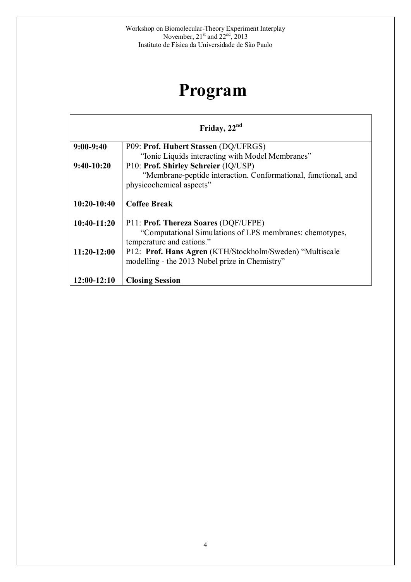# Program

| Friday, 22 <sup>nd</sup> |                                                                                                                                                                                                     |
|--------------------------|-----------------------------------------------------------------------------------------------------------------------------------------------------------------------------------------------------|
| $9:00-9:40$              | P09: Prof. Hubert Stassen (DQ/UFRGS)                                                                                                                                                                |
|                          | "Ionic Liquids interacting with Model Membranes"                                                                                                                                                    |
| $9:40-10:20$             | P10: Prof. Shirley Schreier (IQ/USP)                                                                                                                                                                |
|                          | "Membrane-peptide interaction. Conformational, functional, and                                                                                                                                      |
|                          | physicochemical aspects"                                                                                                                                                                            |
| $10:20-10:40$            | <b>Coffee Break</b>                                                                                                                                                                                 |
| $10:40-11:20$            | P11: Prof. Thereza Soares (DQF/UFPE)                                                                                                                                                                |
| $11:20-12:00$            | "Computational Simulations of LPS membranes: chemotypes,<br>temperature and cations."<br>P12: Prof. Hans Agren (KTH/Stockholm/Sweden) "Multiscale<br>modelling - the 2013 Nobel prize in Chemistry" |
| $12:00-12:10$            | <b>Closing Session</b>                                                                                                                                                                              |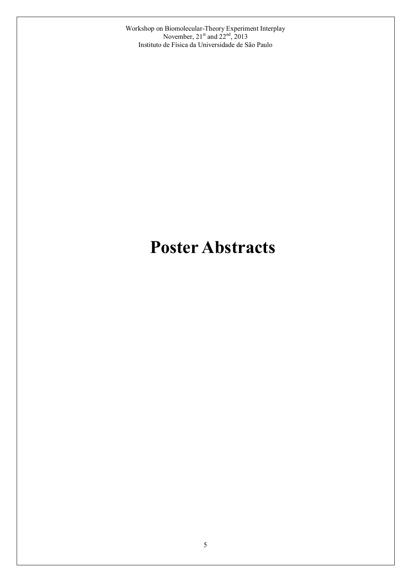# Poster Abstracts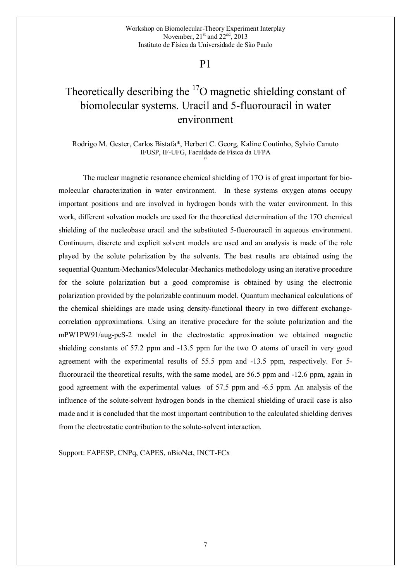## Theoretically describing the  $17<sup>7</sup>$ O magnetic shielding constant of biomolecular systems. Uracil and 5-fluorouracil in water environment

Rodrigo M. Gester, Carlos Bistafa\*, Herbert C. Georg, Kaline Coutinho, Sylvio Canuto IFUSP, IF-UFG, Faculdade de Física da UFPA "

The nuclear magnetic resonance chemical shielding of 17O is of great important for biomolecular characterization in water environment. In these systems oxygen atoms occupy important positions and are involved in hydrogen bonds with the water environment. In this work, different solvation models are used for the theoretical determination of the 17O chemical shielding of the nucleobase uracil and the substituted 5-fluorouracil in aqueous environment. Continuum, discrete and explicit solvent models are used and an analysis is made of the role played by the solute polarization by the solvents. The best results are obtained using the sequential Quantum-Mechanics/Molecular-Mechanics methodology using an iterative procedure for the solute polarization but a good compromise is obtained by using the electronic polarization provided by the polarizable continuum model. Quantum mechanical calculations of the chemical shieldings are made using density-functional theory in two different exchangecorrelation approximations. Using an iterative procedure for the solute polarization and the mPW1PW91/aug-pcS-2 model in the electrostatic approximation we obtained magnetic shielding constants of 57.2 ppm and -13.5 ppm for the two O atoms of uracil in very good agreement with the experimental results of 55.5 ppm and -13.5 ppm, respectively. For 5 fluorouracil the theoretical results, with the same model, are 56.5 ppm and -12.6 ppm, again in good agreement with the experimental values of 57.5 ppm and -6.5 ppm. An analysis of the influence of the solute-solvent hydrogen bonds in the chemical shielding of uracil case is also made and it is concluded that the most important contribution to the calculated shielding derives from the electrostatic contribution to the solute-solvent interaction.

Support: FAPESP, CNPq, CAPES, nBioNet, INCT-FCx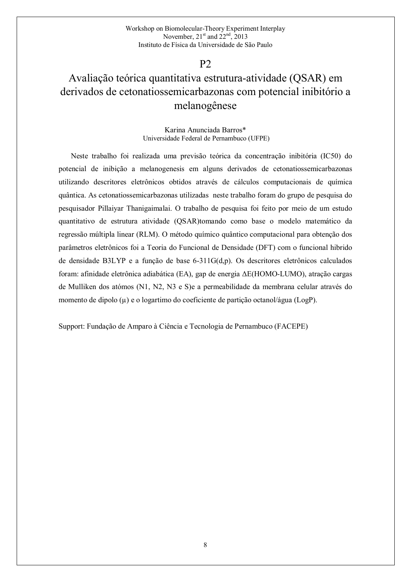### Avaliação teórica quantitativa estrutura-atividade (QSAR) em derivados de cetonatiossemicarbazonas com potencial inibitório a melanogênese

#### Karina Anunciada Barros\* Universidade Federal de Pernambuco (UFPE)

Neste trabalho foi realizada uma previsão teórica da concentração inibitória (IC50) do potencial de inibição a melanogenesis em alguns derivados de cetonatiossemicarbazonas utilizando descritores eletrônicos obtidos através de cálculos computacionais de química quântica. As cetonatiossemicarbazonas utilizadas neste trabalho foram do grupo de pesquisa do pesquisador Pillaiyar Thanigaimalai. O trabalho de pesquisa foi feito por meio de um estudo quantitativo de estrutura atividade (QSAR)tomando como base o modelo matemático da regressão múltipla linear (RLM). O método químico quântico computacional para obtenção dos parâmetros eletrônicos foi a Teoria do Funcional de Densidade (DFT) com o funcional hibrido de densidade B3LYP e a função de base 6-311G(d,p). Os descritores eletrônicos calculados foram: afinidade eletrônica adiabática (EA), gap de energia ΔE(HOMO-LUMO), atração cargas de Mulliken dos atómos (N1, N2, N3 e S)e a permeabilidade da membrana celular através do momento de dipolo (µ) e o logartimo do coeficiente de partição octanol/água (LogP).

Support: Fundação de Amparo à Ciência e Tecnologia de Pernambuco (FACEPE)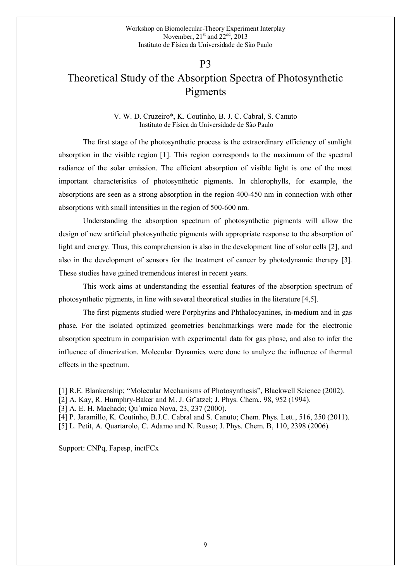## Theoretical Study of the Absorption Spectra of Photosynthetic Pigments

V. W. D. Cruzeiro\*, K. Coutinho, B. J. C. Cabral, S. Canuto Instituto de Física da Universidade de São Paulo

The first stage of the photosynthetic process is the extraordinary efficiency of sunlight absorption in the visible region [1]. This region corresponds to the maximum of the spectral radiance of the solar emission. The efficient absorption of visible light is one of the most important characteristics of photosynthetic pigments. In chlorophylls, for example, the absorptions are seen as a strong absorption in the region 400-450 nm in connection with other absorptions with small intensities in the region of 500-600 nm.

Understanding the absorption spectrum of photosynthetic pigments will allow the design of new artificial photosynthetic pigments with appropriate response to the absorption of light and energy. Thus, this comprehension is also in the development line of solar cells [2], and also in the development of sensors for the treatment of cancer by photodynamic therapy [3]. These studies have gained tremendous interest in recent years.

This work aims at understanding the essential features of the absorption spectrum of photosynthetic pigments, in line with several theoretical studies in the literature [4,5].

The first pigments studied were Porphyrins and Phthalocyanines, in-medium and in gas phase. For the isolated optimized geometries benchmarkings were made for the electronic absorption spectrum in comparision with experimental data for gas phase, and also to infer the influence of dimerization. Molecular Dynamics were done to analyze the influence of thermal effects in the spectrum.

[1] R.E. Blankenship; "Molecular Mechanisms of Photosynthesis", Blackwell Science (2002).

[2] A. Kay, R. Humphry-Baker and M. J. Gr¨atzel; J. Phys. Chem., 98, 952 (1994).

[3] A. E. H. Machado; Qu'imica Nova, 23, 237 (2000).

- [4] P. Jaramillo, K. Coutinho, B.J.C. Cabral and S. Canuto; Chem. Phys. Lett., 516, 250 (2011).
- [5] L. Petit, A. Quartarolo, C. Adamo and N. Russo; J. Phys. Chem. B, 110, 2398 (2006).

Support: CNPq, Fapesp, inctFCx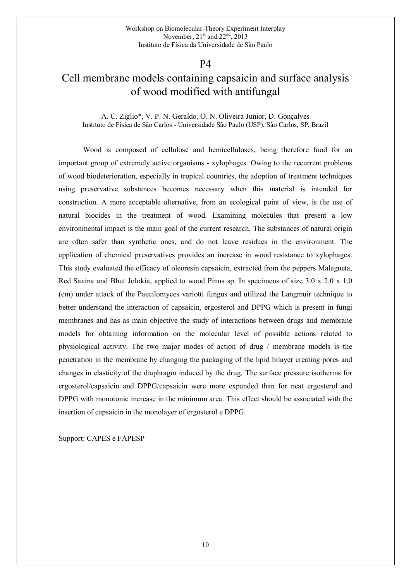### Cell membrane models containing capsaicin and surface analysis of wood modified with antifungal

#### A. C. Ziglio\*, V. P. N. Geraldo, O. N. Oliveira Junior, D. Gonçalves Instituto de Física de São Carlos - Universidade São Paulo (USP), São Carlos, SP, Brazil

Wood is composed of cellulose and hemicelluloses, being therefore food for an important group of extremely active organisms - xylophages. Owing to the recurrent problems of wood biodeterioration, especially in tropical countries, the adoption of treatment techniques using preservative substances becomes necessary when this material is intended for construction. A more acceptable alternative, from an ecological point of view, is the use of natural biocides in the treatment of wood. Examining molecules that present a low environmental impact is the main goal of the current research. The substances of natural origin are often safer than synthetic ones, and do not leave residues in the environment. The application of chemical preservatives provides an increase in wood resistance to xylophages. This study evaluated the efficacy of oleoresin capsaicin, extracted from the peppers Malagueta, Red Savina and Bhut Jolokia, applied to wood Pinus sp. In specimens of size 3.0 x 2.0 x 1.0 (cm) under attack of the Paecilomyces variotti fungus and utilized the Langmuir technique to better understand the interaction of capsaicin, ergosterol and DPPG which is present in fungi membranes and has as main objective the study of interactions between drugs and membrane models for obtaining information on the molecular level of possible actions related to physiological activity. The two major modes of action of drug / membrane models is the penetration in the membrane by changing the packaging of the lipid bilayer creating pores and changes in elasticity of the diaphragm induced by the drug. The surface pressure isotherms for ergosterol/capsaicin and DPPG/capsaicin were more expanded than for neat ergosterol and DPPG with monotonic increase in the minimum area. This effect should be associated with the insertion of capsaicin in the monolayer of ergosterol e DPPG.

Support: CAPES e FAPESP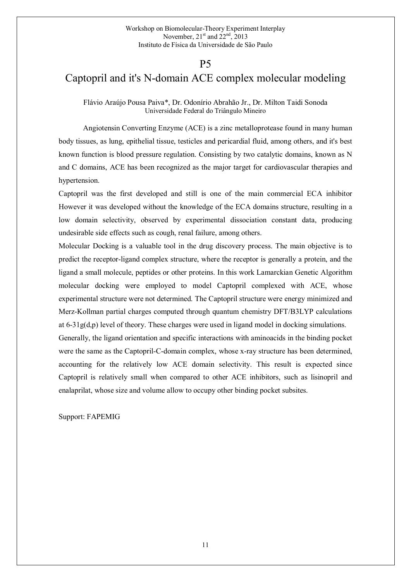### P5

### Captopril and it's N-domain ACE complex molecular modeling

Flávio Araújo Pousa Paiva\*, Dr. Odonírio Abrahão Jr., Dr. Milton Taidi Sonoda Universidade Federal do Triângulo Mineiro

Angiotensin Converting Enzyme (ACE) is a zinc metalloprotease found in many human body tissues, as lung, epithelial tissue, testicles and pericardial fluid, among others, and it's best known function is blood pressure regulation. Consisting by two catalytic domains, known as N and C domains, ACE has been recognized as the major target for cardiovascular therapies and hypertension.

Captopril was the first developed and still is one of the main commercial ECA inhibitor However it was developed without the knowledge of the ECA domains structure, resulting in a low domain selectivity, observed by experimental dissociation constant data, producing undesirable side effects such as cough, renal failure, among others.

Molecular Docking is a valuable tool in the drug discovery process. The main objective is to predict the receptor-ligand complex structure, where the receptor is generally a protein, and the ligand a small molecule, peptides or other proteins. In this work Lamarckian Genetic Algorithm molecular docking were employed to model Captopril complexed with ACE, whose experimental structure were not determined. The Captopril structure were energy minimized and Merz-Kollman partial charges computed through quantum chemistry DFT/B3LYP calculations at  $6-31g(d,p)$  level of theory. These charges were used in ligand model in docking simulations.

Generally, the ligand orientation and specific interactions with aminoacids in the binding pocket were the same as the Captopril-C-domain complex, whose x-ray structure has been determined, accounting for the relatively low ACE domain selectivity. This result is expected since Captopril is relatively small when compared to other ACE inhibitors, such as lisinopril and enalaprilat, whose size and volume allow to occupy other binding pocket subsites.

Support: FAPEMIG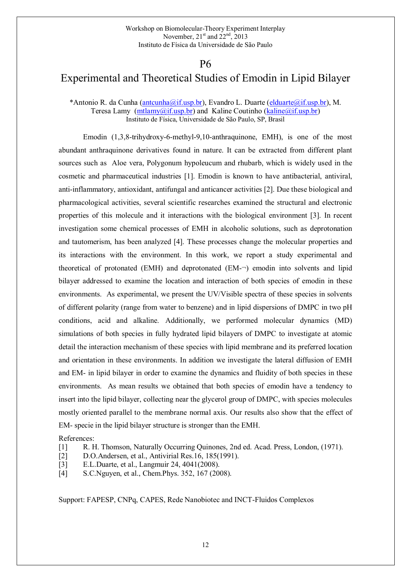### P6

### Experimental and Theoretical Studies of Emodin in Lipid Bilayer

\*Antonio R. da Cunha (antcunha@if.usp.br), Evandro L. Duarte (elduarte@if.usp.br), M. Teresa Lamy  $(\text{mtlany@if.usp.br})$  and Kaline Coutinho  $(\text{kaline@if.usp.br})$ Instituto de Física, Universidade de São Paulo, SP, Brasil

Emodin (1,3,8-trihydroxy-6-methyl-9,10-anthraquinone, EMH), is one of the most abundant anthraquinone derivatives found in nature. It can be extracted from different plant sources such as Aloe vera, Polygonum hypoleucum and rhubarb, which is widely used in the cosmetic and pharmaceutical industries [1]. Emodin is known to have antibacterial, antiviral, anti-inflammatory, antioxidant, antifungal and anticancer activities [2]. Due these biological and pharmacological activities, several scientific researches examined the structural and electronic properties of this molecule and it interactions with the biological environment [3]. In recent investigation some chemical processes of EMH in alcoholic solutions, such as deprotonation and tautomerism, has been analyzed [4]. These processes change the molecular properties and its interactions with the environment. In this work, we report a study experimental and theoretical of protonated (EMH) and deprotonated (EM-¬) emodin into solvents and lipid bilayer addressed to examine the location and interaction of both species of emodin in these environments. As experimental, we present the UV/Visible spectra of these species in solvents of different polarity (range from water to benzene) and in lipid dispersions of DMPC in two pH conditions, acid and alkaline. Additionally, we performed molecular dynamics (MD) simulations of both species in fully hydrated lipid bilayers of DMPC to investigate at atomic detail the interaction mechanism of these species with lipid membrane and its preferred location and orientation in these environments. In addition we investigate the lateral diffusion of EMH and EM- in lipid bilayer in order to examine the dynamics and fluidity of both species in these environments. As mean results we obtained that both species of emodin have a tendency to insert into the lipid bilayer, collecting near the glycerol group of DMPC, with species molecules mostly oriented parallel to the membrane normal axis. Our results also show that the effect of EM- specie in the lipid bilayer structure is stronger than the EMH.

References:

- [1] R. H. Thomson, Naturally Occurring Quinones, 2nd ed. Acad. Press, London, (1971).
- [2] D.O.Andersen, et al., Antivirial Res.16, 185(1991).
- [3] E.L.Duarte, et al., Langmuir 24, 4041(2008).
- [4] S.C.Nguyen, et al., Chem.Phys. 352, 167 (2008).

Support: FAPESP, CNPq, CAPES, Rede Nanobiotec and INCT-Fluidos Complexos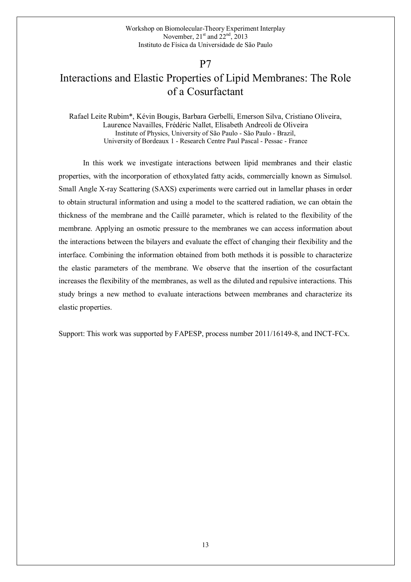### P7

## Interactions and Elastic Properties of Lipid Membranes: The Role of a Cosurfactant

Rafael Leite Rubim\*, Kévin Bougis, Barbara Gerbelli, Emerson Silva, Cristiano Oliveira, Laurence Navailles, Frédéric Nallet, Elisabeth Andreoli de Oliveira Institute of Physics, University of São Paulo - São Paulo - Brazil, University of Bordeaux 1 - Research Centre Paul Pascal - Pessac - France

In this work we investigate interactions between lipid membranes and their elastic properties, with the incorporation of ethoxylated fatty acids, commercially known as Simulsol. Small Angle X-ray Scattering (SAXS) experiments were carried out in lamellar phases in order to obtain structural information and using a model to the scattered radiation, we can obtain the thickness of the membrane and the Caillé parameter, which is related to the flexibility of the membrane. Applying an osmotic pressure to the membranes we can access information about the interactions between the bilayers and evaluate the effect of changing their flexibility and the interface. Combining the information obtained from both methods it is possible to characterize the elastic parameters of the membrane. We observe that the insertion of the cosurfactant increases the flexibility of the membranes, as well as the diluted and repulsive interactions. This study brings a new method to evaluate interactions between membranes and characterize its elastic properties.

Support: This work was supported by FAPESP, process number 2011/16149-8, and INCT-FCx.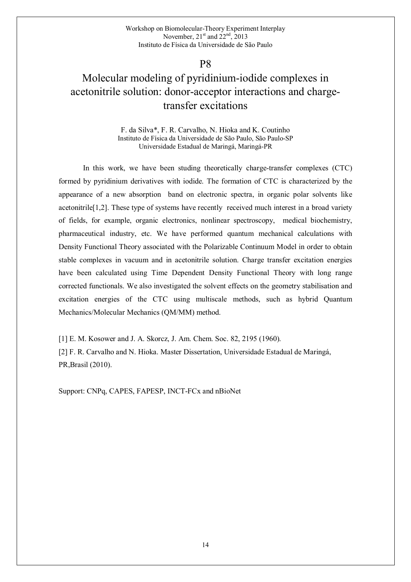## Molecular modeling of pyridinium-iodide complexes in acetonitrile solution: donor-acceptor interactions and chargetransfer excitations

F. da Silva\*, F. R. Carvalho, N. Hioka and K. Coutinho Instituto de Física da Universidade de São Paulo, São Paulo-SP Universidade Estadual de Maringá, Maringá-PR

In this work, we have been studing theoretically charge-transfer complexes (CTC) formed by pyridinium derivatives with iodide. The formation of CTC is characterized by the appearance of a new absorption band on electronic spectra, in organic polar solvents like acetonitrile[1,2]. These type of systems have recently received much interest in a broad variety of fields, for example, organic electronics, nonlinear spectroscopy, medical biochemistry, pharmaceutical industry, etc. We have performed quantum mechanical calculations with Density Functional Theory associated with the Polarizable Continuum Model in order to obtain stable complexes in vacuum and in acetonitrile solution. Charge transfer excitation energies have been calculated using Time Dependent Density Functional Theory with long range corrected functionals. We also investigated the solvent effects on the geometry stabilisation and excitation energies of the CTC using multiscale methods, such as hybrid Quantum Mechanics/Molecular Mechanics (QM/MM) method.

[1] E. M. Kosower and J. A. Skorcz, J. Am. Chem. Soc. 82, 2195 (1960). [2] F. R. Carvalho and N. Hioka. Master Dissertation, Universidade Estadual de Maringá, PR,Brasil (2010).

Support: CNPq, CAPES, FAPESP, INCT-FCx and nBioNet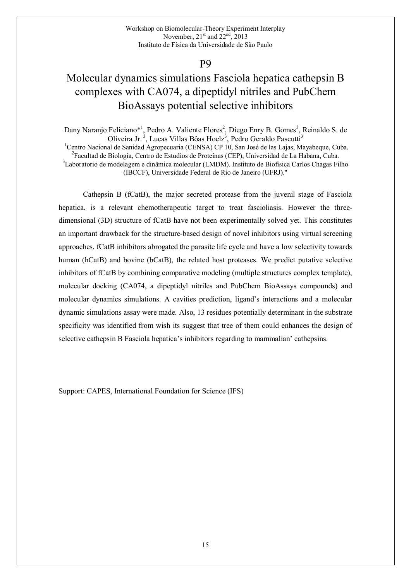## Molecular dynamics simulations Fasciola hepatica cathepsin B complexes with CA074, a dipeptidyl nitriles and PubChem BioAssays potential selective inhibitors

Dany Naranjo Feliciano\*<sup>1</sup>, Pedro A. Valiente Flores<sup>2</sup>, Diego Enry B. Gomes<sup>3</sup>, Reinaldo S. de Oliveira Jr.<sup>3</sup>, Lucas Villas Bôas Hoelz<sup>3</sup>, Pedro Geraldo Pascutti<sup>3</sup> <sup>1</sup>Centro Nacional de Sanidad Agropecuaria (CENSA) CP 10, San José de las Lajas, Mayabeque, Cuba.

<sup>2</sup> Facultad de Biología, Centro de Estudios de Proteínas (CEP), Universidad de La Habana, Cuba.

<sup>3</sup>Laboratorio de modelagem e dinâmica molecular (LMDM). Instituto de Biofísica Carlos Chagas Filho (IBCCF), Universidade Federal de Rio de Janeiro (UFRJ)."

Cathepsin B (fCatB), the major secreted protease from the juvenil stage of Fasciola hepatica, is a relevant chemotherapeutic target to treat fascioliasis. However the threedimensional (3D) structure of fCatB have not been experimentally solved yet. This constitutes an important drawback for the structure-based design of novel inhibitors using virtual screening approaches. fCatB inhibitors abrogated the parasite life cycle and have a low selectivity towards human (hCatB) and bovine (bCatB), the related host proteases. We predict putative selective inhibitors of fCatB by combining comparative modeling (multiple structures complex template), molecular docking (CA074, a dipeptidyl nitriles and PubChem BioAssays compounds) and molecular dynamics simulations. A cavities prediction, ligand's interactions and a molecular dynamic simulations assay were made. Also, 13 residues potentially determinant in the substrate specificity was identified from wish its suggest that tree of them could enhances the design of selective cathepsin B Fasciola hepatica's inhibitors regarding to mammalian' cathepsins.

Support: CAPES, International Foundation for Science (IFS)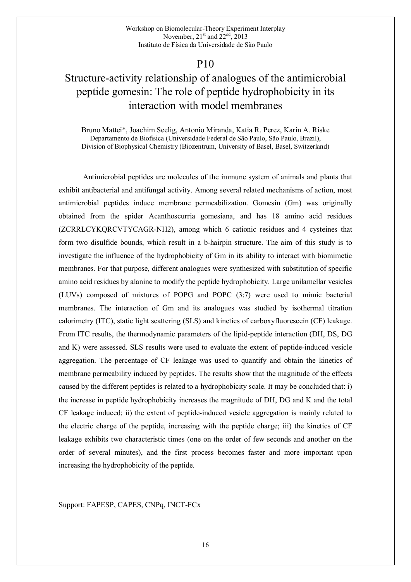## Structure-activity relationship of analogues of the antimicrobial peptide gomesin: The role of peptide hydrophobicity in its interaction with model membranes

Bruno Mattei\*, Joachim Seelig, Antonio Miranda, Katia R. Perez, Karin A. Riske Departamento de Biofísica (Universidade Federal de São Paulo, São Paulo, Brazil), Division of Biophysical Chemistry (Biozentrum, University of Basel, Basel, Switzerland)

Antimicrobial peptides are molecules of the immune system of animals and plants that exhibit antibacterial and antifungal activity. Among several related mechanisms of action, most antimicrobial peptides induce membrane permeabilization. Gomesin (Gm) was originally obtained from the spider Acanthoscurria gomesiana, and has 18 amino acid residues (ZCRRLCYKQRCVTYCAGR-NH2), among which 6 cationic residues and 4 cysteines that form two disulfide bounds, which result in a b-hairpin structure. The aim of this study is to investigate the influence of the hydrophobicity of Gm in its ability to interact with biomimetic membranes. For that purpose, different analogues were synthesized with substitution of specific amino acid residues by alanine to modify the peptide hydrophobicity. Large unilamellar vesicles (LUVs) composed of mixtures of POPG and POPC (3:7) were used to mimic bacterial membranes. The interaction of Gm and its analogues was studied by isothermal titration calorimetry (ITC), static light scattering (SLS) and kinetics of carboxyfluorescein (CF) leakage. From ITC results, the thermodynamic parameters of the lipid-peptide interaction (DH, DS, DG and K) were assessed. SLS results were used to evaluate the extent of peptide-induced vesicle aggregation. The percentage of CF leakage was used to quantify and obtain the kinetics of membrane permeability induced by peptides. The results show that the magnitude of the effects caused by the different peptides is related to a hydrophobicity scale. It may be concluded that: i) the increase in peptide hydrophobicity increases the magnitude of DH, DG and K and the total CF leakage induced; ii) the extent of peptide-induced vesicle aggregation is mainly related to the electric charge of the peptide, increasing with the peptide charge; iii) the kinetics of CF leakage exhibits two characteristic times (one on the order of few seconds and another on the order of several minutes), and the first process becomes faster and more important upon increasing the hydrophobicity of the peptide.

Support: FAPESP, CAPES, CNPq, INCT-FCx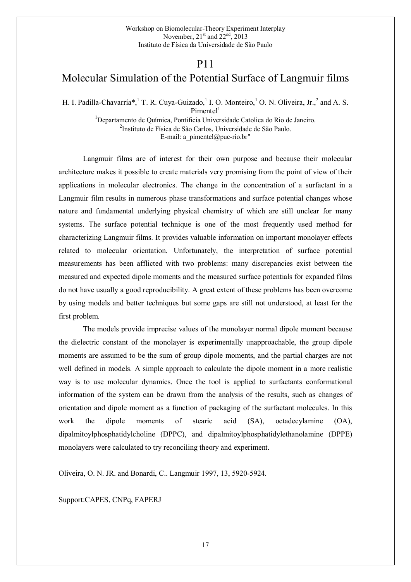### P11

### Molecular Simulation of the Potential Surface of Langmuir films

H. I. Padilla-Chavarría\*, T. R. Cuya-Guizado, <sup>1</sup> I. O. Monteiro, <sup>1</sup> O. N. Oliveira, Jr., <sup>2</sup> and A. S.  $Pimentel<sup>1</sup>$ 

> <sup>1</sup>Departamento de Química, Pontificia Universidade Catolica do Rio de Janeiro. 2 Instituto de Física de São Carlos, Universidade de São Paulo. E-mail: a pimentel@puc-rio.br"

Langmuir films are of interest for their own purpose and because their molecular architecture makes it possible to create materials very promising from the point of view of their applications in molecular electronics. The change in the concentration of a surfactant in a Langmuir film results in numerous phase transformations and surface potential changes whose nature and fundamental underlying physical chemistry of which are still unclear for many systems. The surface potential technique is one of the most frequently used method for characterizing Langmuir films. It provides valuable information on important monolayer effects related to molecular orientation. Unfortunately, the interpretation of surface potential measurements has been afflicted with two problems: many discrepancies exist between the measured and expected dipole moments and the measured surface potentials for expanded films do not have usually a good reproducibility. A great extent of these problems has been overcome by using models and better techniques but some gaps are still not understood, at least for the first problem.

 The models provide imprecise values of the monolayer normal dipole moment because the dielectric constant of the monolayer is experimentally unapproachable, the group dipole moments are assumed to be the sum of group dipole moments, and the partial charges are not well defined in models. A simple approach to calculate the dipole moment in a more realistic way is to use molecular dynamics. Once the tool is applied to surfactants conformational information of the system can be drawn from the analysis of the results, such as changes of orientation and dipole moment as a function of packaging of the surfactant molecules. In this work the dipole moments of stearic acid (SA), octadecylamine (OA), dipalmitoylphosphatidylcholine (DPPC), and dipalmitoylphosphatidylethanolamine (DPPE) monolayers were calculated to try reconciling theory and experiment.

Oliveira, O. N. JR. and Bonardi, C.. Langmuir 1997, 13, 5920-5924.

Support:CAPES, CNPq, FAPERJ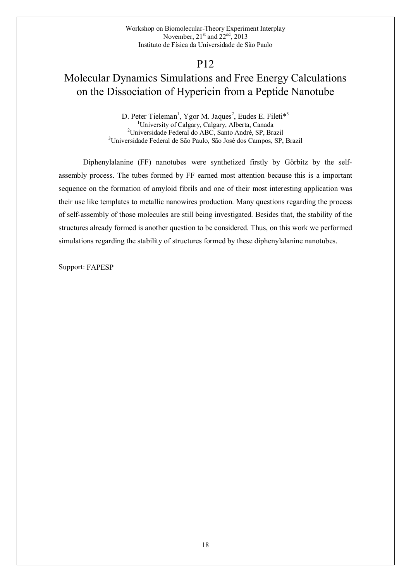## Molecular Dynamics Simulations and Free Energy Calculations on the Dissociation of Hypericin from a Peptide Nanotube

D. Peter Tieleman<sup>1</sup>, Ygor M. Jaques<sup>2</sup>, Eudes E. Fileti<sup>\*3</sup> <sup>1</sup>University of Calgary, Calgary, Alberta, Canada<sup>2</sup>Universidade Federal do ABC, Santo André, SP, Brazil 3 Universidade Federal de São Paulo, São José dos Campos, SP, Brazil

Diphenylalanine (FF) nanotubes were synthetized firstly by Görbitz by the selfassembly process. The tubes formed by FF earned most attention because this is a important sequence on the formation of amyloid fibrils and one of their most interesting application was their use like templates to metallic nanowires production. Many questions regarding the process of self-assembly of those molecules are still being investigated. Besides that, the stability of the structures already formed is another question to be considered. Thus, on this work we performed simulations regarding the stability of structures formed by these diphenylalanine nanotubes.

Support: FAPESP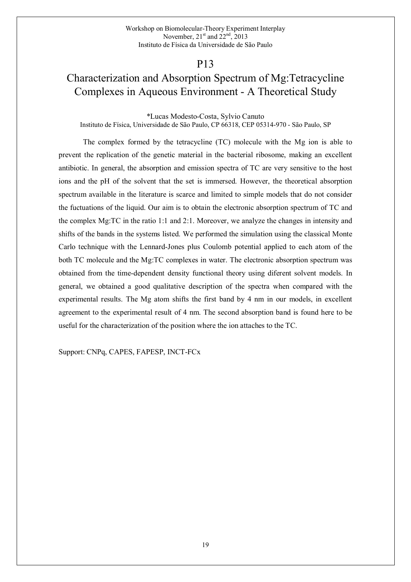## Characterization and Absorption Spectrum of Mg:Tetracycline Complexes in Aqueous Environment - A Theoretical Study

\*Lucas Modesto-Costa, Sylvio Canuto Instituto de Física, Universidade de São Paulo, CP 66318, CEP 05314-970 - São Paulo, SP

The complex formed by the tetracycline (TC) molecule with the Mg ion is able to prevent the replication of the genetic material in the bacterial ribosome, making an excellent antibiotic. In general, the absorption and emission spectra of TC are very sensitive to the host ions and the pH of the solvent that the set is immersed. However, the theoretical absorption spectrum available in the literature is scarce and limited to simple models that do not consider the fuctuations of the liquid. Our aim is to obtain the electronic absorption spectrum of TC and the complex Mg:TC in the ratio 1:1 and 2:1. Moreover, we analyze the changes in intensity and shifts of the bands in the systems listed. We performed the simulation using the classical Monte Carlo technique with the Lennard-Jones plus Coulomb potential applied to each atom of the both TC molecule and the Mg:TC complexes in water. The electronic absorption spectrum was obtained from the time-dependent density functional theory using diferent solvent models. In general, we obtained a good qualitative description of the spectra when compared with the experimental results. The Mg atom shifts the first band by 4 nm in our models, in excellent agreement to the experimental result of 4 nm. The second absorption band is found here to be useful for the characterization of the position where the ion attaches to the TC.

Support: CNPq, CAPES, FAPESP, INCT-FCx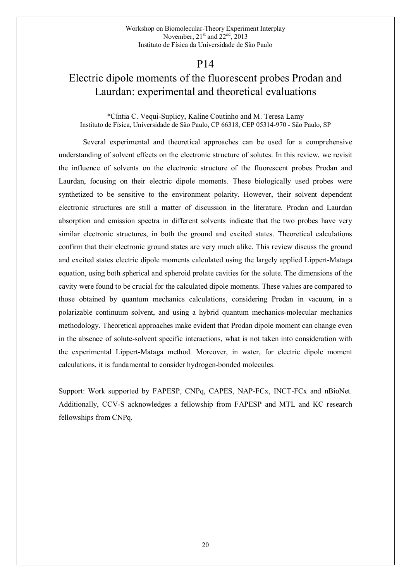### Electric dipole moments of the fluorescent probes Prodan and Laurdan: experimental and theoretical evaluations

\*Cíntia C. Vequi-Suplicy, Kaline Coutinho and M. Teresa Lamy Instituto de Física, Universidade de São Paulo, CP 66318, CEP 05314-970 - São Paulo, SP

Several experimental and theoretical approaches can be used for a comprehensive understanding of solvent effects on the electronic structure of solutes. In this review, we revisit the influence of solvents on the electronic structure of the fluorescent probes Prodan and Laurdan, focusing on their electric dipole moments. These biologically used probes were synthetized to be sensitive to the environment polarity. However, their solvent dependent electronic structures are still a matter of discussion in the literature. Prodan and Laurdan absorption and emission spectra in different solvents indicate that the two probes have very similar electronic structures, in both the ground and excited states. Theoretical calculations confirm that their electronic ground states are very much alike. This review discuss the ground and excited states electric dipole moments calculated using the largely applied Lippert-Mataga equation, using both spherical and spheroid prolate cavities for the solute. The dimensions of the cavity were found to be crucial for the calculated dipole moments. These values are compared to those obtained by quantum mechanics calculations, considering Prodan in vacuum, in a polarizable continuum solvent, and using a hybrid quantum mechanics-molecular mechanics methodology. Theoretical approaches make evident that Prodan dipole moment can change even in the absence of solute-solvent specific interactions, what is not taken into consideration with the experimental Lippert-Mataga method. Moreover, in water, for electric dipole moment calculations, it is fundamental to consider hydrogen-bonded molecules.

Support: Work supported by FAPESP, CNPq, CAPES, NAP-FCx, INCT-FCx and nBioNet. Additionally, CCV-S acknowledges a fellowship from FAPESP and MTL and KC research fellowships from CNPq.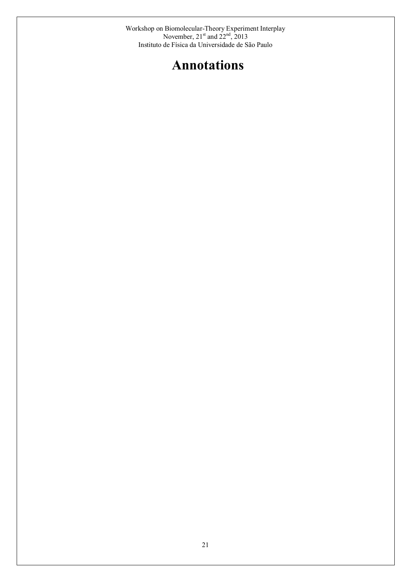# Annotations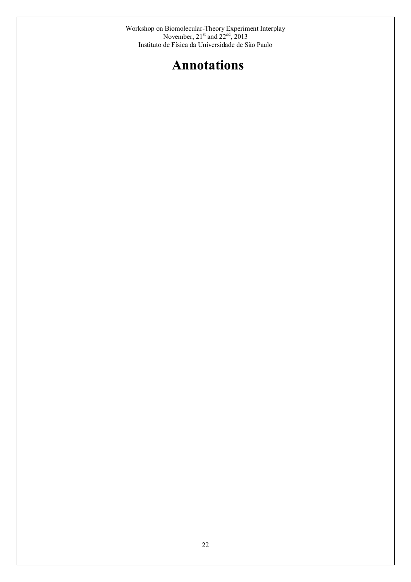# Annotations